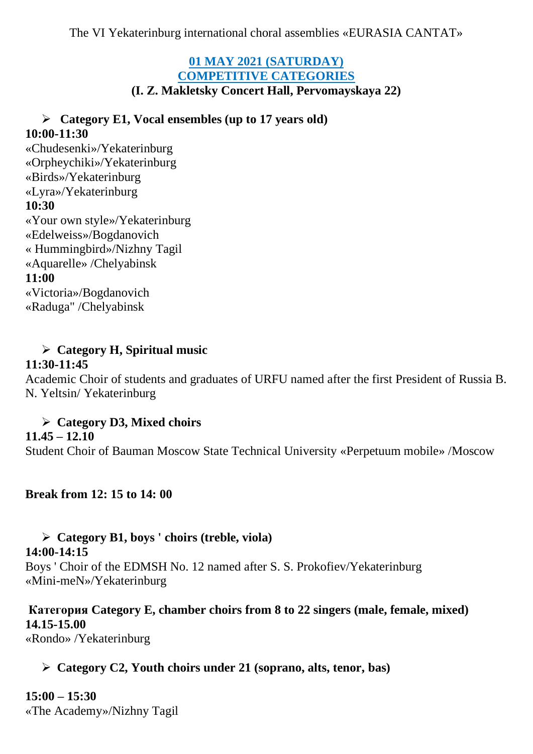The VI Yekaterinburg international choral assemblies «EURASIA CANTAT»

# **01 MAY 2021 (SATURDAY) COMPETITIVE CATEGORIES**

**(I. Z. Makletsky Concert Hall, Pervomayskaya 22)**

### ➢ **Category E1, Vocal ensembles (up to 17 years old) 10:00-11:30**

«Chudesenki»/Yekaterinburg «Orpheychiki»/Yekaterinburg «Birds»/Yekaterinburg «Lyra»/Yekaterinburg **10:30** «Your own style»/Yekaterinburg «Edelweiss»/Bogdanovich « Hummingbird»/Nizhny Tagil «Aquarelle» /Chelyabinsk **11:00** «Victoria»/Bogdanovich «Raduga" /Chelyabinsk

### ➢ **Category H, Spiritual music**

#### **11:30-11:45**

Academic Choir of students and graduates of URFU named after the first President of Russia B. N. Yeltsin/ Yekaterinburg

## ➢ **Category D3, Mixed choirs**

#### **11.45 – 12.10**

Student Choir of Bauman Moscow State Technical University «Perpetuum mobile» /Moscow

**Break from 12: 15 to 14: 00**

# ➢ **Category B1, boys ' choirs (treble, viola)**

### **14:00-14:15**

Boys ' Choir of the EDMSH No. 12 named after S. S. Prokofiev/Yekaterinburg «Mini-meN»/Yekaterinburg

### **Категория Category E, chamber choirs from 8 to 22 singers (male, female, mixed) 14.15-15.00**

«Rondo» /Yekaterinburg

### ➢ **Category C2, Youth choirs under 21 (soprano, alts, tenor, bas)**

**15:00 – 15:30** «The Academy»/Nizhny Tagil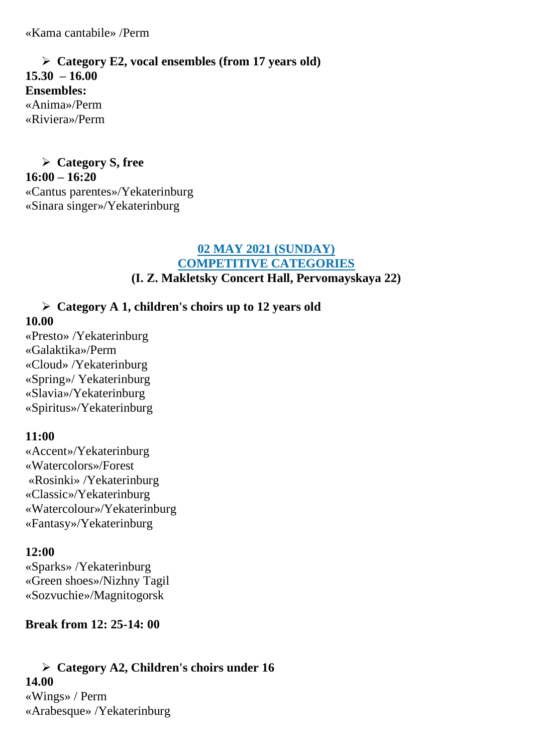«Kama cantabile» /Perm

➢ **Category E2, vocal ensembles (from 17 years old) 15.30 – 16.00 Ensembles:** «Anima»/Perm «Riviera»/Perm

➢ **Category S, free 16:00 – 16:20**  «Cantus parentes»/Yekaterinburg «Sinara singer»/Yekaterinburg

#### **02 MAY 2021 (SUNDAY) COMPETITIVE CATEGORIES (I. Z. Makletsky Concert Hall, Pervomayskaya 22)**

### ➢ **Category A 1, children's choirs up to 12 years old**

#### **10.00**

«Presto» /Yekaterinburg «Galaktika»/Perm «Cloud» /Yekaterinburg «Spring»/ Yekaterinburg «Slavia»/Yekaterinburg «Spiritus»/Yekaterinburg

#### **11:00**

«Accent»/Yekaterinburg «Watercolors»/Forest «Rosinki» /Yekaterinburg «Classic»/Yekaterinburg «Watercolour»/Yekaterinburg «Fantasy»/Yekaterinburg

#### **12:00**

«Sparks» /Yekaterinburg «Green shoes»/Nizhny Tagil «Sozvuchie»/Magnitogorsk

### **Break from 12: 25-14: 00**

# ➢ **Category A2, Children's choirs under 16**

### **14.00**

«Wings» / Perm «Arabesque» /Yekaterinburg